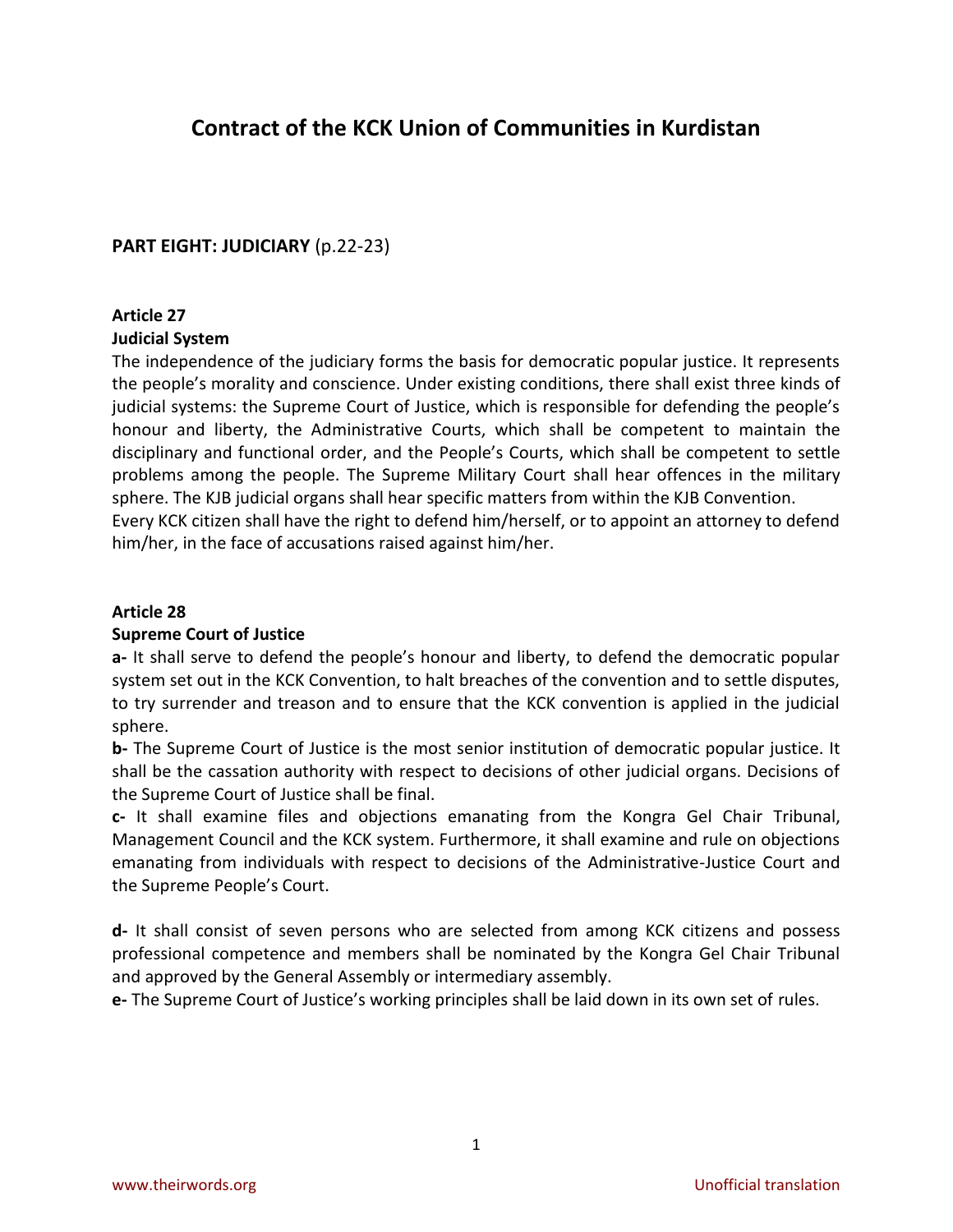# **Contract of the KCK Union of Communities in Kurdistan**

## **PART EIGHT: JUDICIARY** (p.22-23)

## **Article 27**

### **Judicial System**

The independence of the judiciary forms the basis for democratic popular justice. It represents the people's morality and conscience. Under existing conditions, there shall exist three kinds of judicial systems: the Supreme Court of Justice, which is responsible for defending the people's honour and liberty, the Administrative Courts, which shall be competent to maintain the disciplinary and functional order, and the People's Courts, which shall be competent to settle problems among the people. The Supreme Military Court shall hear offences in the military sphere. The KJB judicial organs shall hear specific matters from within the KJB Convention. Every KCK citizen shall have the right to defend him/herself, or to appoint an attorney to defend him/her, in the face of accusations raised against him/her.

### **Article 28**

### **Supreme Court of Justice**

**a-** It shall serve to defend the people's honour and liberty, to defend the democratic popular system set out in the KCK Convention, to halt breaches of the convention and to settle disputes, to try surrender and treason and to ensure that the KCK convention is applied in the judicial sphere.

**b-** The Supreme Court of Justice is the most senior institution of democratic popular justice. It shall be the cassation authority with respect to decisions of other judicial organs. Decisions of the Supreme Court of Justice shall be final.

**c-** It shall examine files and objections emanating from the Kongra Gel Chair Tribunal, Management Council and the KCK system. Furthermore, it shall examine and rule on objections emanating from individuals with respect to decisions of the Administrative-Justice Court and the Supreme People's Court.

**d-** It shall consist of seven persons who are selected from among KCK citizens and possess professional competence and members shall be nominated by the Kongra Gel Chair Tribunal and approved by the General Assembly or intermediary assembly.

**e-** The Supreme Court of Justice's working principles shall be laid down in its own set of rules.